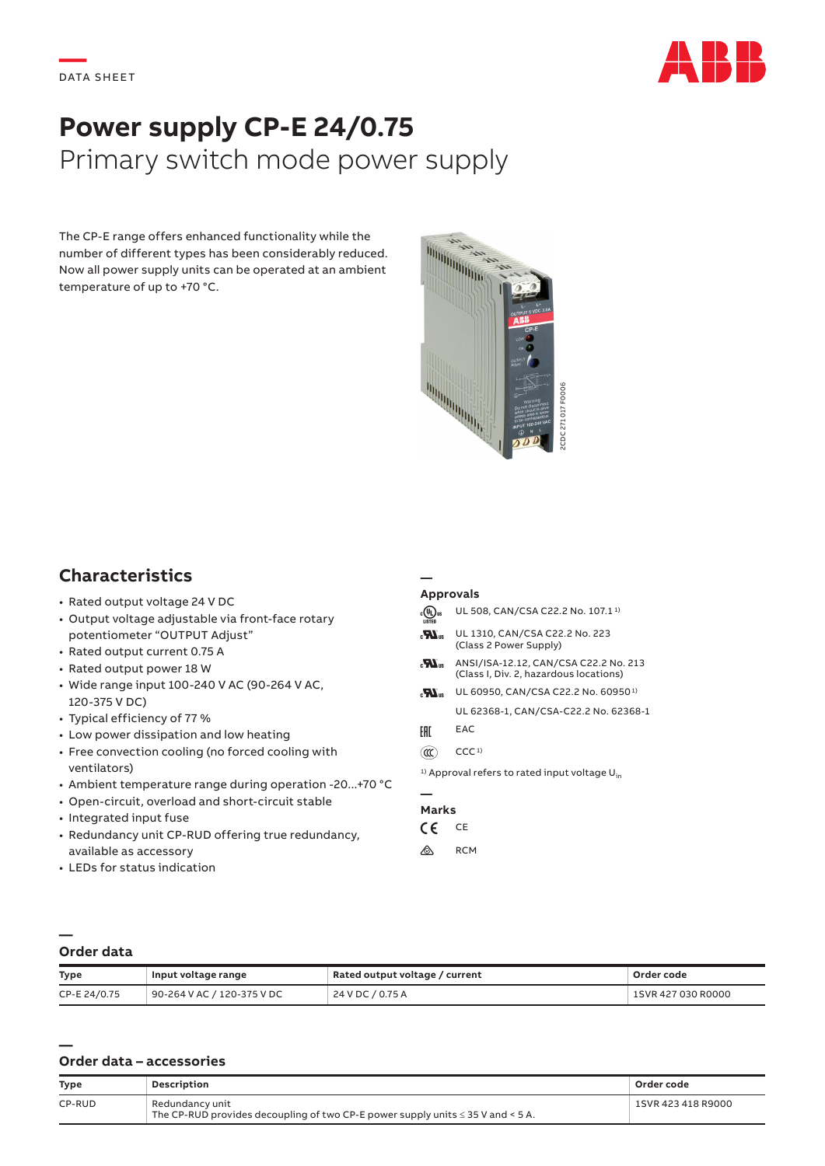

# **Power supply CP-E 24/0.75** Primary switch mode power supply

The CP-E range offers enhanced functionality while the number of different types has been considerably reduced. Now all power supply units can be operated at an ambient temperature of up to +70 °C.



## **Characteristics**

- Rated output voltage 24 V DC
- Output voltage adjustable via front-face rotary potentiometer "OUTPUT Adjust"
- Rated output current 0.75 A
- Rated output power 18 W
- Wide range input 100-240 V AC (90-264 V AC, 120-375 V DC)
- Typical efficiency of 77 %
- Low power dissipation and low heating
- Free convection cooling (no forced cooling with ventilators)
- Ambient temperature range during operation -20...+70 °C
- Open-circuit, overload and short-circuit stable
- Integrated input fuse
- Redundancy unit CP-RUD offering true redundancy, available as accessory
- LEDs for status indication

#### **Approvals**

**—**

| <b>IISTED</b>    | UL 508, CAN/CSA C22.2 No. 107.1 <sup>1)</sup>                                   |
|------------------|---------------------------------------------------------------------------------|
| $\boldsymbol{H}$ | UL 1310, CAN/CSA C22.2 No. 223<br>(Class 2 Power Supply)                        |
| $\boldsymbol{H}$ | ANSI/ISA-12.12, CAN/CSA C22.2 No. 213<br>(Class I, Div. 2, hazardous locations) |
| $\boldsymbol{H}$ | UL 60950, CAN/CSA C22.2 No. 60950 <sup>1)</sup>                                 |
|                  | UL 62368-1, CAN/CSA-C22.2 No. 62368-1                                           |
| EAC              | EAC                                                                             |
| αα               | CCC <sub>1</sub>                                                                |
|                  | <sup>1)</sup> Approval refers to rated input voltage U <sub>in</sub>            |
|                  |                                                                                 |

### **Marks**

- $CF$  CE
- $\bigotimes$  RCM

### **— Order data**

**—**

| <b>Type</b>  | Input voltage range                   | Rated output voltage / current | Order code         |
|--------------|---------------------------------------|--------------------------------|--------------------|
| CP-E 24/0.75 | $^{\circ}$ 90-264 V AC / 120-375 V DC | 24 V DC / 0.75 A               | 1SVR 427 030 R0000 |

### **Order data – accessories**

| <b>Type</b> | <b>Description</b>                                                                                      | Order code         |
|-------------|---------------------------------------------------------------------------------------------------------|--------------------|
| CP-RUD      | Redundancy unit<br>The CP-RUD provides decoupling of two CP-E power supply units $\leq$ 35 V and < 5 A. | 1SVR 423 418 R9000 |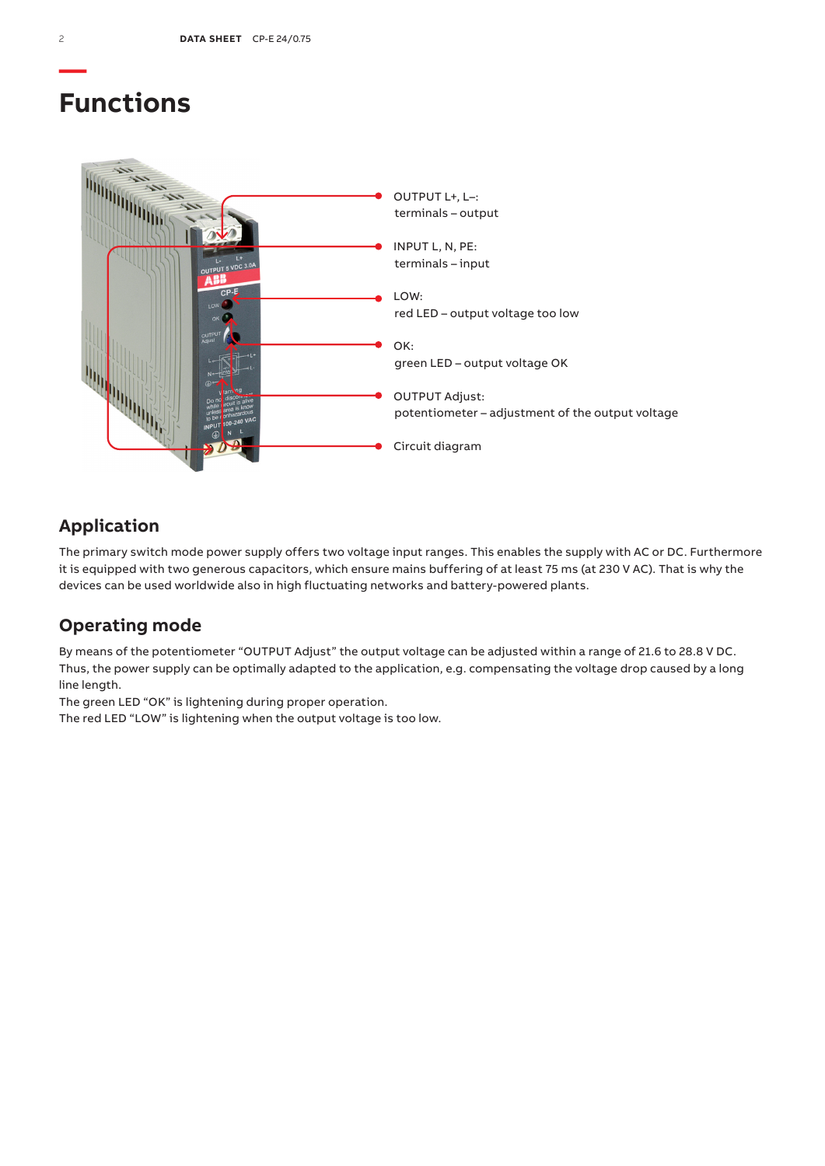## **Functions**



## **Application**

The primary switch mode power supply offers two voltage input ranges. This enables the supply with AC or DC. Furthermore it is equipped with two generous capacitors, which ensure mains buffering of at least 75 ms (at 230 V AC). That is why the devices can be used worldwide also in high fluctuating networks and battery-powered plants.

## **Operating mode**

By means of the potentiometer "OUTPUT Adjust" the output voltage can be adjusted within a range of 21.6 to 28.8 V DC. Thus, the power supply can be optimally adapted to the application, e.g. compensating the voltage drop caused by a long line length.

The green LED "OK" is lightening during proper operation.

The red LED "LOW" is lightening when the output voltage is too low.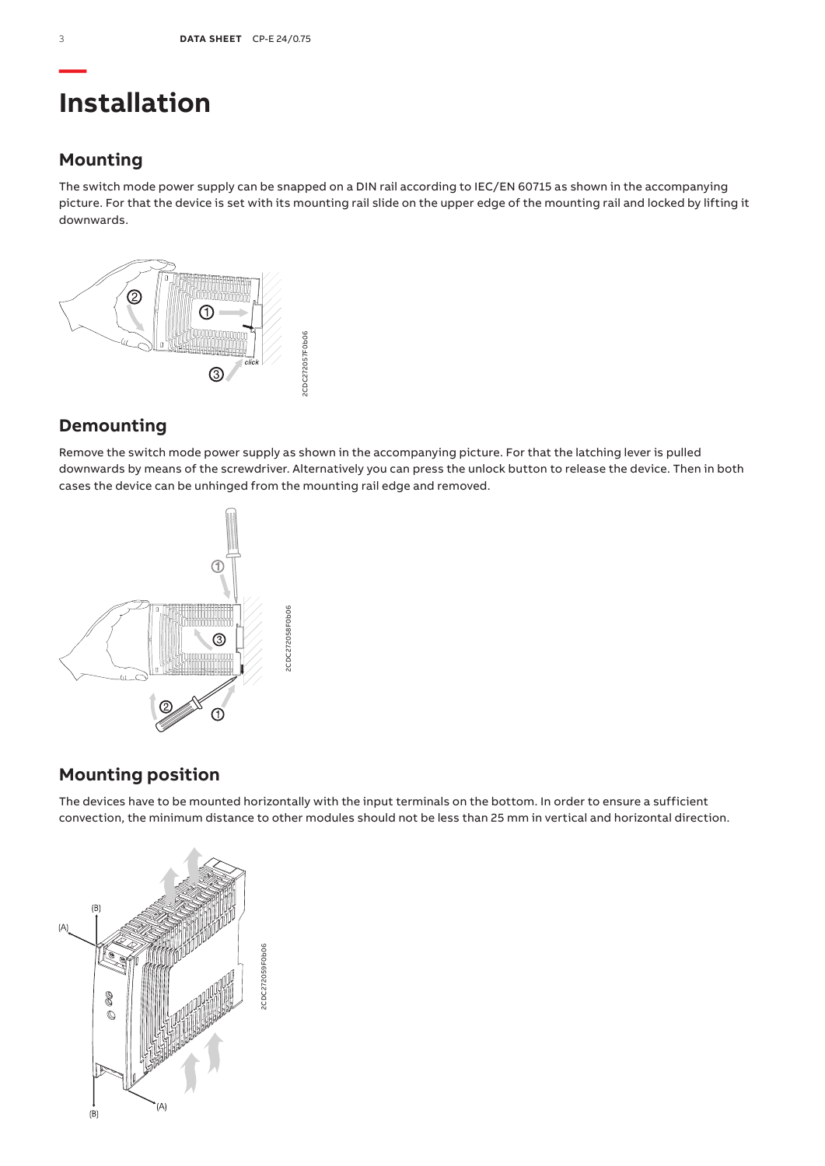# **Installation**

## **Mounting**

The switch mode power supply can be snapped on a DIN rail according to IEC/EN 60715 as shown in the accompanying picture. For that the device is set with its mounting rail slide on the upper edge of the mounting rail and locked by lifting it downwards.



## **Demounting**

Remove the switch mode power supply as shown in the accompanying picture. For that the latching lever is pulled downwards by means of the screwdriver. Alternatively you can press the unlock button to release the device. Then in both cases the device can be unhinged from the mounting rail edge and removed.



## **Mounting position**

The devices have to be mounted horizontally with the input terminals on the bottom. In order to ensure a sufficient convection, the minimum distance to other modules should not be less than 25 mm in vertical and horizontal direction.

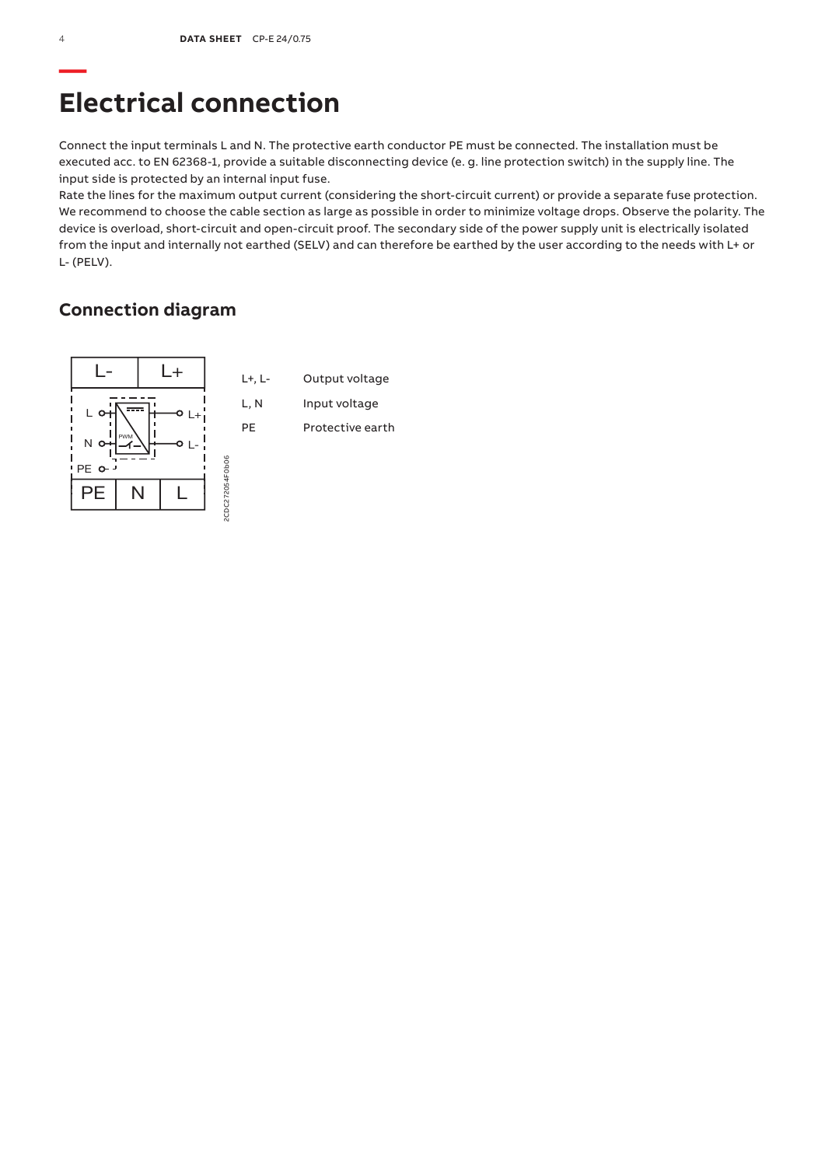## **Electrical connection**

Connect the input terminals L and N. The protective earth conductor PE must be connected. The installation must be executed acc. to EN 62368-1, provide a suitable disconnecting device (e. g. line protection switch) in the supply line. The input side is protected by an internal input fuse.

Rate the lines for the maximum output current (considering the short-circuit current) or provide a separate fuse protection. We recommend to choose the cable section as large as possible in order to minimize voltage drops. Observe the polarity. The device is overload, short-circuit and open-circuit proof. The secondary side of the power supply unit is electrically isolated from the input and internally not earthed (SELV) and can therefore be earthed by the user according to the needs with L+ or L- (PELV).

### **Connection diagram**

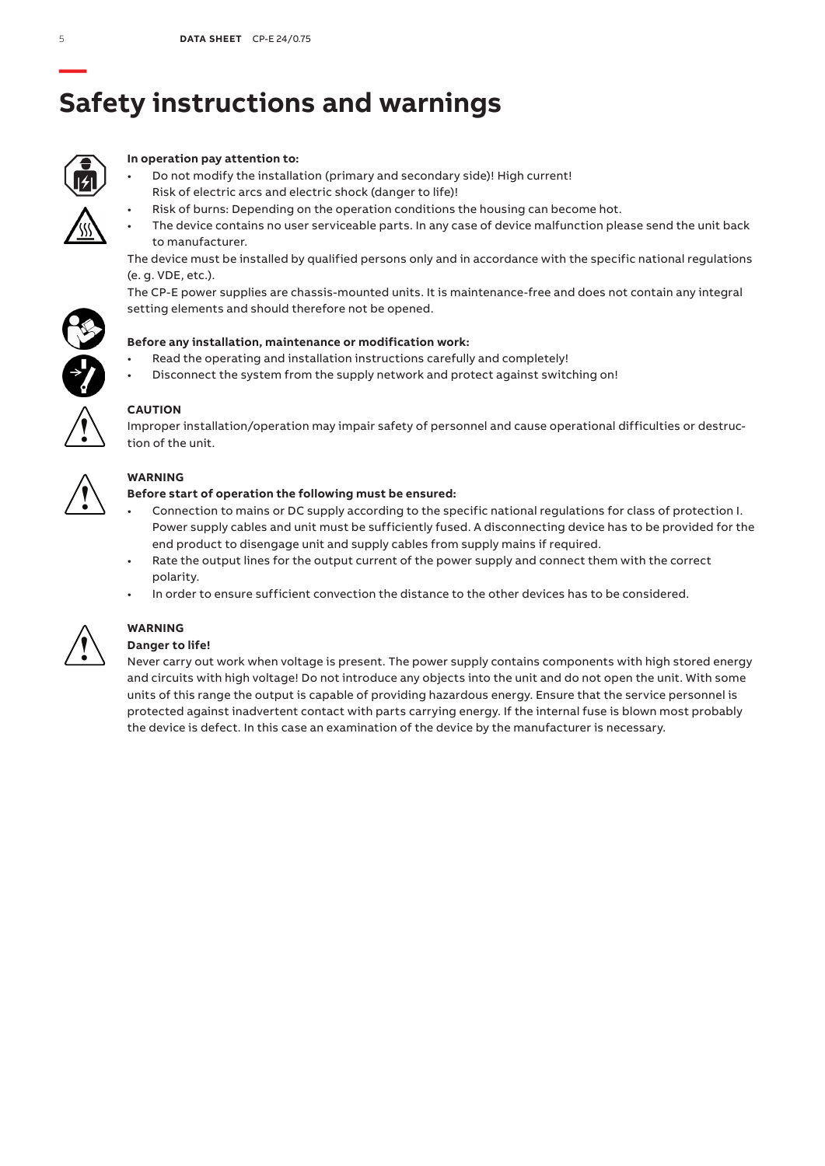# **Safety instructions and warnings**



### **In operation pay attention to:**

- Do not modify the installation (primary and secondary side)! High current! Risk of electric arcs and electric shock (danger to life)!
	- Risk of burns: Depending on the operation conditions the housing can become hot.
- The device contains no user serviceable parts. In any case of device malfunction please send the unit back to manufacturer.

The device must be installed by qualified persons only and in accordance with the specific national regulations (e. g. VDE, etc.).

The CP-E power supplies are chassis-mounted units. It is maintenance-free and does not contain any integral setting elements and should therefore not be opened.



- Read the operating and installation instructions carefully and completely!
- Disconnect the system from the supply network and protect against switching on!



### **CAUTION**

Improper installation/operation may impair safety of personnel and cause operational difficulties or destruction of the unit.



### **WARNING**

### **Before start of operation the following must be ensured:**

- Connection to mains or DC supply according to the specific national regulations for class of protection I. Power supply cables and unit must be sufficiently fused. A disconnecting device has to be provided for the end product to disengage unit and supply cables from supply mains if required.
- Rate the output lines for the output current of the power supply and connect them with the correct polarity.
- In order to ensure sufficient convection the distance to the other devices has to be considered.



## **WARNING**

### **Danger to life!**

Never carry out work when voltage is present. The power supply contains components with high stored energy and circuits with high voltage! Do not introduce any objects into the unit and do not open the unit. With some units of this range the output is capable of providing hazardous energy. Ensure that the service personnel is protected against inadvertent contact with parts carrying energy. If the internal fuse is blown most probably the device is defect. In this case an examination of the device by the manufacturer is necessary.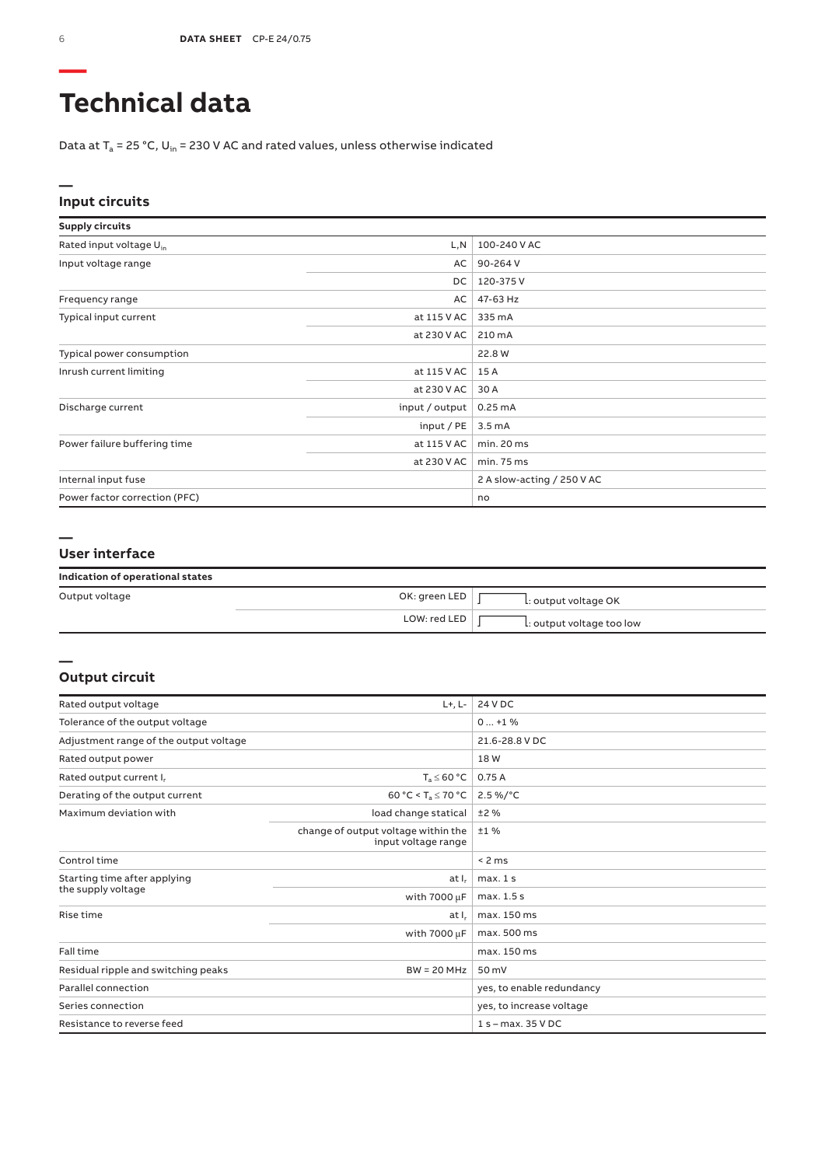# **Technical data**

Data at  $T_a$  = 25 °C, U<sub>in</sub> = 230 V AC and rated values, unless otherwise indicated

### **— Input circuits**

| <b>Supply circuits</b>              |                |                            |
|-------------------------------------|----------------|----------------------------|
| Rated input voltage U <sub>in</sub> | L,N            | 100-240 V AC               |
| Input voltage range                 | AC             | 90-264 V                   |
|                                     | DC             | 120-375V                   |
| Frequency range                     | AC             | 47-63 Hz                   |
| Typical input current               | at 115 V AC    | 335 mA                     |
|                                     | at 230 V AC    | 210 mA                     |
| Typical power consumption           |                | 22.8 W                     |
| Inrush current limiting             | at 115 V AC    | 15 A                       |
|                                     | at 230 V AC    | 30 A                       |
| Discharge current                   | input / output | $0.25 \text{ mA}$          |
|                                     | input/PE       | 3.5 <sub>m</sub> A         |
| Power failure buffering time        | at 115 V AC    | min. 20 ms                 |
|                                     | at 230 V AC    | min.75 ms                  |
| Internal input fuse                 |                | 2 A slow-acting / 250 V AC |
| Power factor correction (PFC)       |                | no                         |

### **— User interface**

| Indication of operational states |  |  |  |
|----------------------------------|--|--|--|
|----------------------------------|--|--|--|

| Output voltage | OK: green LED $\vert$ | L: output voltage OK      |
|----------------|-----------------------|---------------------------|
|                | LOW: redLED           | L: output voltage too low |

### **Output circuit**

**—**

| Rated output voltage                   | $L+, L-$                                                   | 24 V DC                   |
|----------------------------------------|------------------------------------------------------------|---------------------------|
| Tolerance of the output voltage        | $0+1$ %                                                    |                           |
| Adjustment range of the output voltage |                                                            | 21.6-28.8 V DC            |
| Rated output power                     |                                                            | 18W                       |
| Rated output current I.                | $T_a \leq 60 °C$                                           | 0.75A                     |
| Derating of the output current         | 60 °C < T <sub>a</sub> $\leq$ 70 °C                        | $2.5\%$ /°C               |
| Maximum deviation with                 | load change statical                                       | ±2%                       |
|                                        | change of output voltage within the<br>input voltage range | ±1%                       |
| Control time                           |                                                            | < 2 ms                    |
| Starting time after applying           | at I <sub>r</sub>                                          | max.1s                    |
| the supply voltage                     | with $7000 \mu F$                                          | max. 1.5 s                |
| Rise time                              | at I.                                                      | max. 150 ms               |
|                                        | with $7000 \mu F$                                          | max. 500 ms               |
| Fall time                              |                                                            | max. 150 ms               |
| Residual ripple and switching peaks    | $BW = 20 MHz$                                              | 50 mV                     |
| Parallel connection                    |                                                            | yes, to enable redundancy |
| Series connection                      |                                                            | yes, to increase voltage  |
| Resistance to reverse feed             |                                                            | $1 s - max. 35 VDC$       |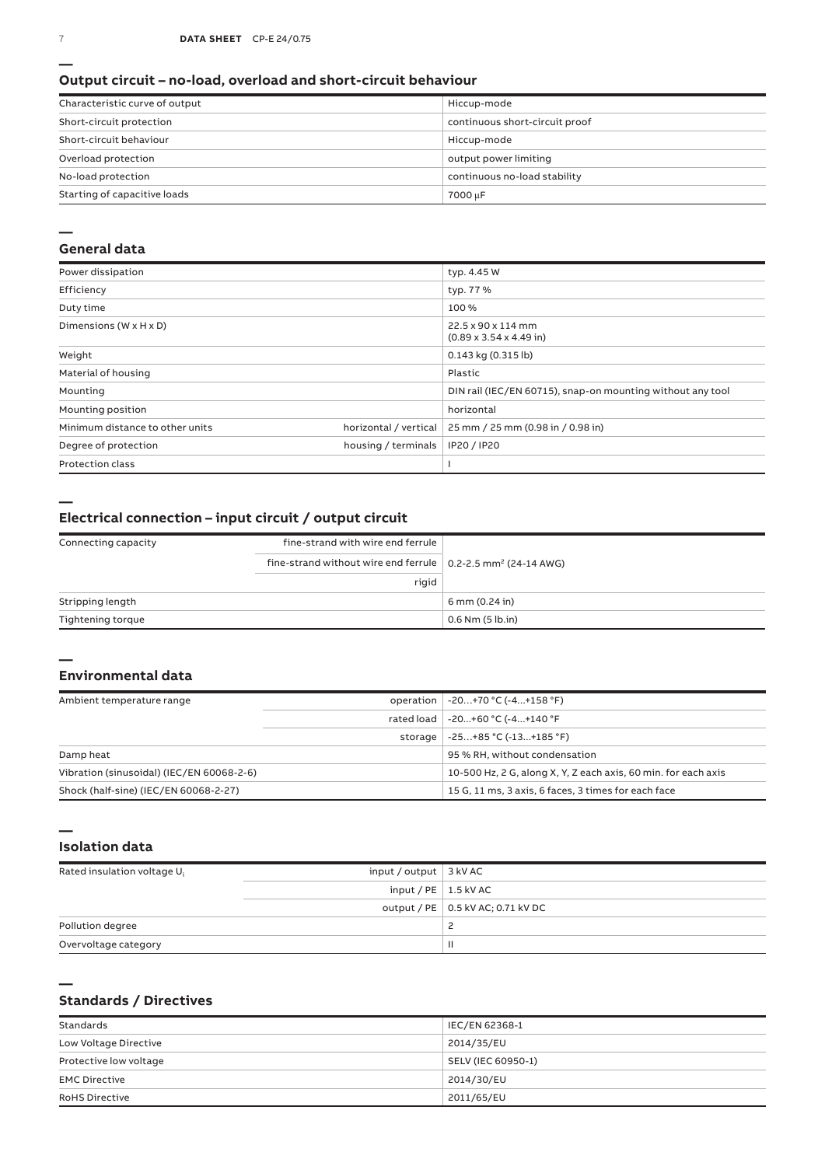### **Output circuit – no-load, overload and short-circuit behaviour**

| Characteristic curve of output | Hiccup-mode                    |
|--------------------------------|--------------------------------|
| Short-circuit protection       | continuous short-circuit proof |
| Short-circuit behaviour        | Hiccup-mode                    |
| Overload protection            | output power limiting          |
| No-load protection             | continuous no-load stability   |
| Starting of capacitive loads   | 7000 µF                        |

#### **—**

### **General data**

| Power dissipation                    |                       | typ. 4.45 W                                                |
|--------------------------------------|-----------------------|------------------------------------------------------------|
| Efficiency                           |                       | typ. 77 %                                                  |
| Duty time                            |                       | 100 %                                                      |
| Dimensions ( $W \times H \times D$ ) |                       | 22.5 x 90 x 114 mm<br>$(0.89 \times 3.54 \times 4.49)$ in  |
| Weight                               |                       | 0.143 kg (0.315 lb)                                        |
| Material of housing                  |                       | Plastic                                                    |
| Mounting                             |                       | DIN rail (IEC/EN 60715), snap-on mounting without any tool |
| Mounting position                    |                       | horizontal                                                 |
| Minimum distance to other units      | horizontal / vertical | 25 mm / 25 mm (0.98 in / 0.98 in)                          |
| Degree of protection                 | housing / terminals   | IP20 / IP20                                                |
| <b>Protection class</b>              |                       |                                                            |

**—**

**—**

### **Electrical connection – input circuit / output circuit**

| Connecting capacity | fine-strand with wire end ferrule                                          |                      |
|---------------------|----------------------------------------------------------------------------|----------------------|
|                     | fine-strand without wire end ferrule   0.2-2.5 mm <sup>2</sup> (24-14 AWG) |                      |
|                     | rigid                                                                      |                      |
| Stripping length    |                                                                            | 6 mm (0.24 in)       |
| Tightening torque   |                                                                            | $0.6$ Nm $(5$ lb.in) |

### **Environmental data**

| Ambient temperature range                 | operation   -20+70 °C (-4+158 °F)                              |
|-------------------------------------------|----------------------------------------------------------------|
|                                           | rated load   -20+60 °C (-4+140 °F                              |
|                                           | storage $-25+85$ °C $(-13+185$ °F)                             |
| Damp heat                                 | 95 % RH, without condensation                                  |
| Vibration (sinusoidal) (IEC/EN 60068-2-6) | 10-500 Hz, 2 G, along X, Y, Z each axis, 60 min, for each axis |
| Shock (half-sine) (IEC/EN 60068-2-27)     | 15 G, 11 ms, 3 axis, 6 faces, 3 times for each face            |

### **— Isolation data**

| Rated insulation voltage U <sub>i</sub> | input / output $\vert$ 3 kV AC |                                     |
|-----------------------------------------|--------------------------------|-------------------------------------|
|                                         | input / PE $\vert$ 1.5 kV AC   |                                     |
|                                         |                                | output / PE   0.5 kV AC; 0.71 kV DC |
| Pollution degree                        |                                | <u>_</u>                            |
| Overvoltage category                    |                                |                                     |

### **— Standards / Directives**

| Standards              | IEC/EN 62368-1     |
|------------------------|--------------------|
| Low Voltage Directive  | 2014/35/EU         |
| Protective low voltage | SELV (IEC 60950-1) |
| <b>EMC Directive</b>   | 2014/30/EU         |
| <b>RoHS Directive</b>  | 2011/65/EU         |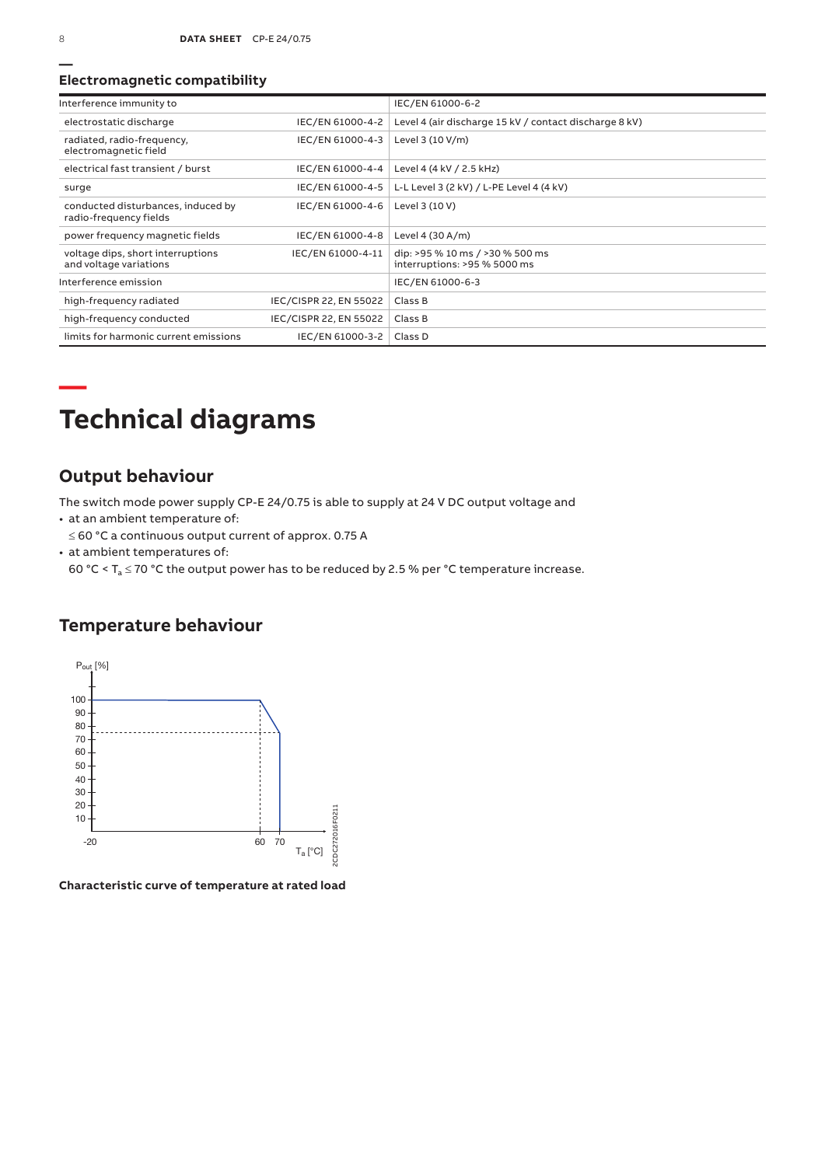### **Electromagnetic compatibility**

| Interference immunity to                                     |                        | IEC/EN 61000-6-2                                                |
|--------------------------------------------------------------|------------------------|-----------------------------------------------------------------|
| electrostatic discharge                                      | IEC/EN 61000-4-2       | Level 4 (air discharge 15 kV / contact discharge 8 kV)          |
| radiated, radio-frequency,<br>electromagnetic field          | IEC/EN 61000-4-3       | Level 3 (10 V/m)                                                |
| electrical fast transient / burst                            | IEC/EN 61000-4-4       | Level 4 (4 kV / 2.5 kHz)                                        |
| surge                                                        | IEC/EN 61000-4-5       | L-L Level 3 (2 kV) / L-PE Level 4 (4 kV)                        |
| conducted disturbances, induced by<br>radio-frequency fields | IEC/EN 61000-4-6       | Level 3 (10 V)                                                  |
| power frequency magnetic fields                              | IEC/EN 61000-4-8       | Level 4 $(30 A/m)$                                              |
| voltage dips, short interruptions<br>and voltage variations  | IEC/EN 61000-4-11      | dip: >95 % 10 ms / >30 % 500 ms<br>interruptions: >95 % 5000 ms |
| Interference emission                                        |                        | IEC/EN 61000-6-3                                                |
| high-frequency radiated                                      | IEC/CISPR 22, EN 55022 | Class B                                                         |
| high-frequency conducted                                     | IEC/CISPR 22, EN 55022 | Class B                                                         |
| limits for harmonic current emissions                        | IEC/EN 61000-3-2       | Class D                                                         |

## **— Technical diagrams**

### **Output behaviour**

The switch mode power supply CP‑E 24/0.75 is able to supply at 24 V DC output voltage and

- at an ambient temperature of:
- ≤ 60 °C a continuous output current of approx. 0.75 A
- at ambient temperatures of:

60 °C <  $T_a \le 70$  °C the output power has to be reduced by 2.5 % per °C temperature increase.

## **Temperature behaviour**



**Characteristic curve of temperature at rated load**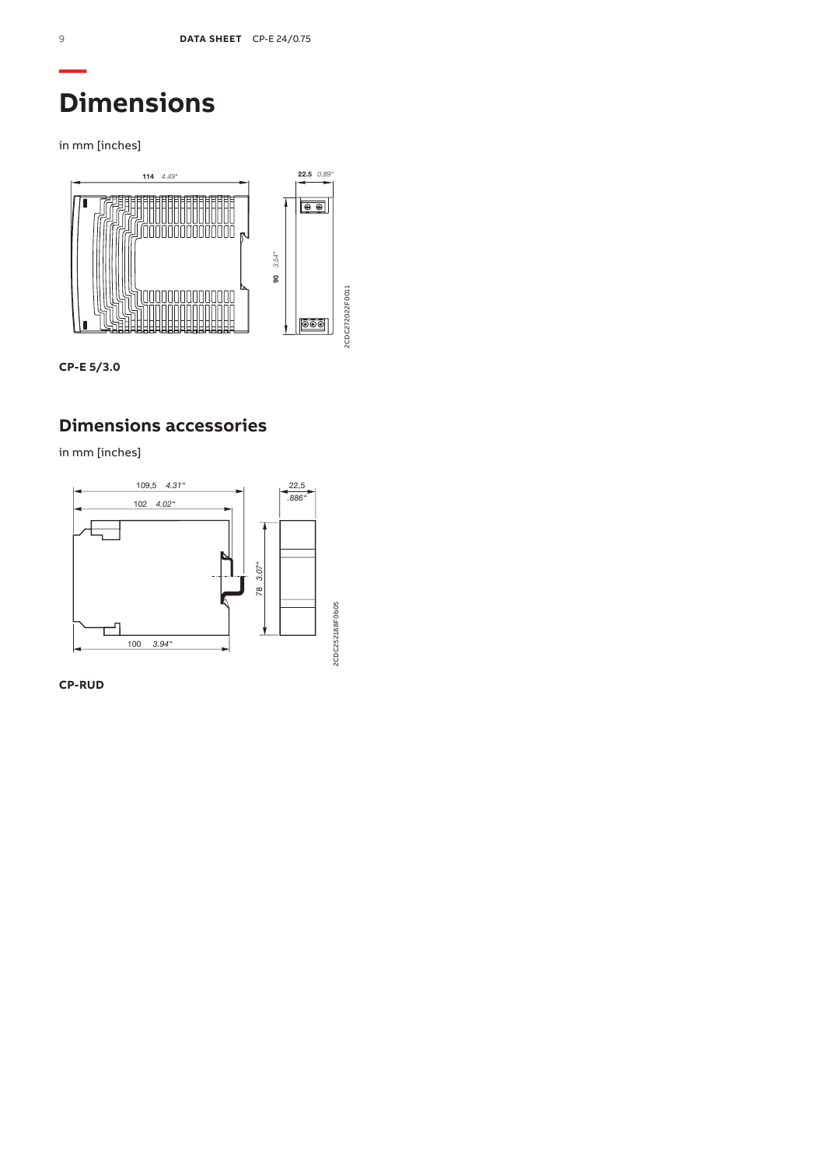# **Dimensions**

in mm [inches]



**CP-E 5/3.0**

## **Dimensions accessories**

in mm [inches]



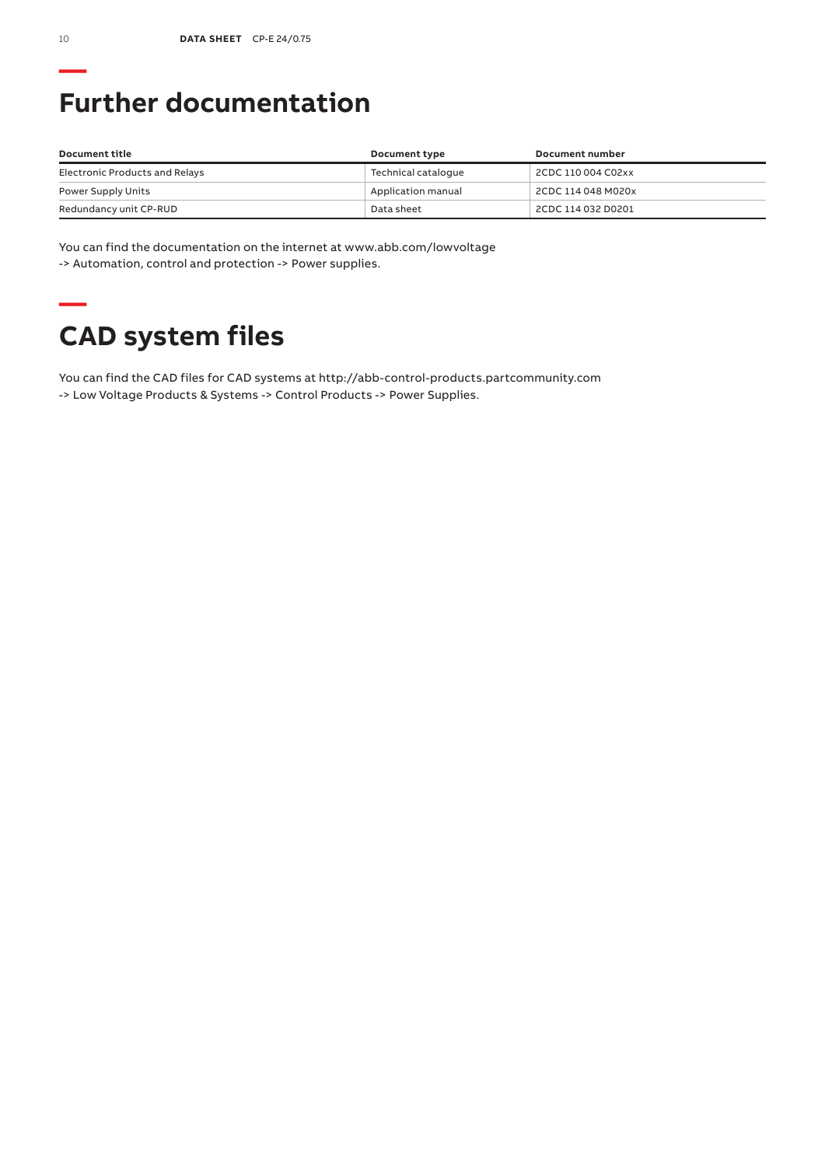# **Further documentation**

| Document title                 | Document type       | Document number    |
|--------------------------------|---------------------|--------------------|
| Electronic Products and Relays | Technical catalogue | 2CDC 110 004 C02xx |
| Power Supply Units             | Application manual  | 2CDC 114 048 M020x |
| Redundancy unit CP-RUD         | Data sheet          | 2CDC 114 032 D0201 |

You can find the documentation on the internet at www.abb.com/lowvoltage -> Automation, control and protection -> Power supplies.

# **— CAD system files**

You can find the CAD files for CAD systems at http://abb-control-products.partcommunity.com -> Low Voltage Products & Systems -> Control Products -> Power Supplies.